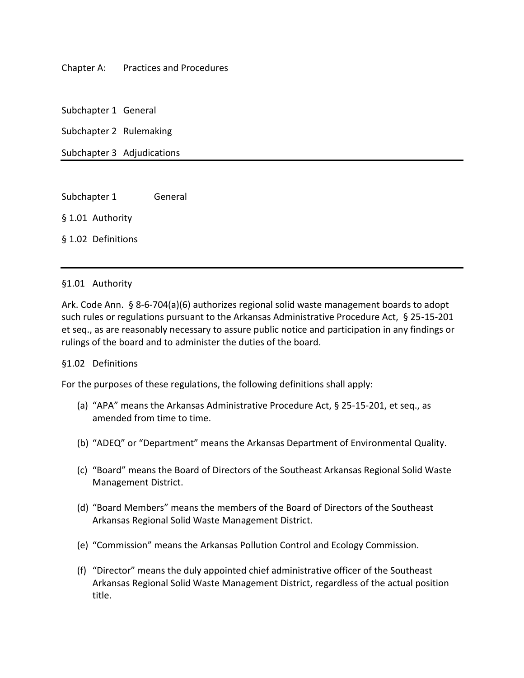### Chapter A: Practices and Procedures

Subchapter 1 General

Subchapter 2 Rulemaking

Subchapter 3 Adjudications

Subchapter 1 General § 1.01 Authority

§ 1.02 Definitions

#### §1.01 Authority

Ark. Code Ann. § 8-6-704(a)(6) authorizes regional solid waste management boards to adopt such rules or regulations pursuant to the Arkansas Administrative Procedure Act, § 25-15-201 et seq., as are reasonably necessary to assure public notice and participation in any findings or rulings of the board and to administer the duties of the board.

### §1.02 Definitions

For the purposes of these regulations, the following definitions shall apply:

- (a) "APA" means the Arkansas Administrative Procedure Act, § 25-15-201, et seq., as amended from time to time.
- (b) "ADEQ" or "Department" means the Arkansas Department of Environmental Quality.
- (c) "Board" means the Board of Directors of the Southeast Arkansas Regional Solid Waste Management District.
- (d) "Board Members" means the members of the Board of Directors of the Southeast Arkansas Regional Solid Waste Management District.
- (e) "Commission" means the Arkansas Pollution Control and Ecology Commission.
- (f) "Director" means the duly appointed chief administrative officer of the Southeast Arkansas Regional Solid Waste Management District, regardless of the actual position title.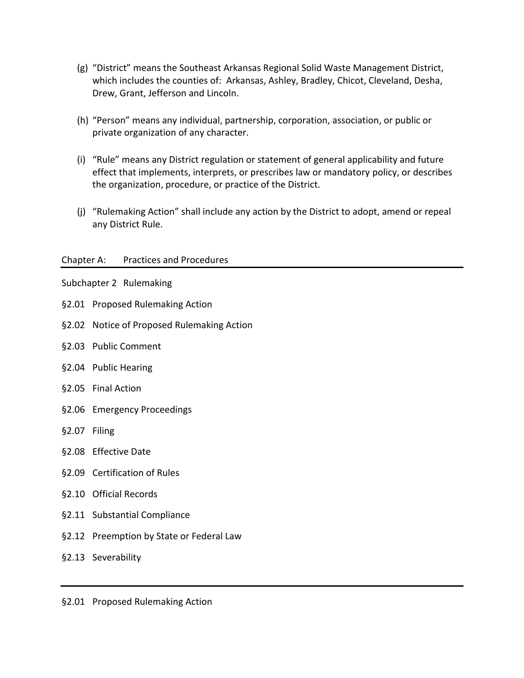- (g) "District" means the Southeast Arkansas Regional Solid Waste Management District, which includes the counties of: Arkansas, Ashley, Bradley, Chicot, Cleveland, Desha, Drew, Grant, Jefferson and Lincoln.
- (h) "Person" means any individual, partnership, corporation, association, or public or private organization of any character.
- (i) "Rule" means any District regulation or statement of general applicability and future effect that implements, interprets, or prescribes law or mandatory policy, or describes the organization, procedure, or practice of the District.
- (j) "Rulemaking Action" shall include any action by the District to adopt, amend or repeal any District Rule.

### Chapter A: Practices and Procedures

Subchapter 2 Rulemaking

- §2.01 Proposed Rulemaking Action
- §2.02 Notice of Proposed Rulemaking Action
- §2.03 Public Comment
- §2.04 Public Hearing
- §2.05 Final Action
- §2.06 Emergency Proceedings
- §2.07 Filing
- §2.08 Effective Date
- §2.09 Certification of Rules
- §2.10 Official Records
- §2.11 Substantial Compliance
- §2.12 Preemption by State or Federal Law
- §2.13 Severability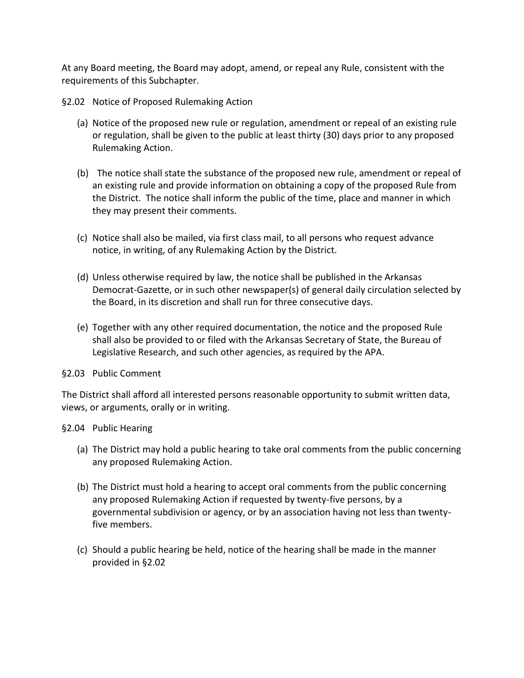At any Board meeting, the Board may adopt, amend, or repeal any Rule, consistent with the requirements of this Subchapter.

§2.02 Notice of Proposed Rulemaking Action

- (a) Notice of the proposed new rule or regulation, amendment or repeal of an existing rule or regulation, shall be given to the public at least thirty (30) days prior to any proposed Rulemaking Action.
- (b) The notice shall state the substance of the proposed new rule, amendment or repeal of an existing rule and provide information on obtaining a copy of the proposed Rule from the District. The notice shall inform the public of the time, place and manner in which they may present their comments.
- (c) Notice shall also be mailed, via first class mail, to all persons who request advance notice, in writing, of any Rulemaking Action by the District.
- (d) Unless otherwise required by law, the notice shall be published in the Arkansas Democrat-Gazette, or in such other newspaper(s) of general daily circulation selected by the Board, in its discretion and shall run for three consecutive days.
- (e) Together with any other required documentation, the notice and the proposed Rule shall also be provided to or filed with the Arkansas Secretary of State, the Bureau of Legislative Research, and such other agencies, as required by the APA.
- §2.03 Public Comment

The District shall afford all interested persons reasonable opportunity to submit written data, views, or arguments, orally or in writing.

§2.04 Public Hearing

- (a) The District may hold a public hearing to take oral comments from the public concerning any proposed Rulemaking Action.
- (b) The District must hold a hearing to accept oral comments from the public concerning any proposed Rulemaking Action if requested by twenty-five persons, by a governmental subdivision or agency, or by an association having not less than twentyfive members.
- (c) Should a public hearing be held, notice of the hearing shall be made in the manner provided in §2.02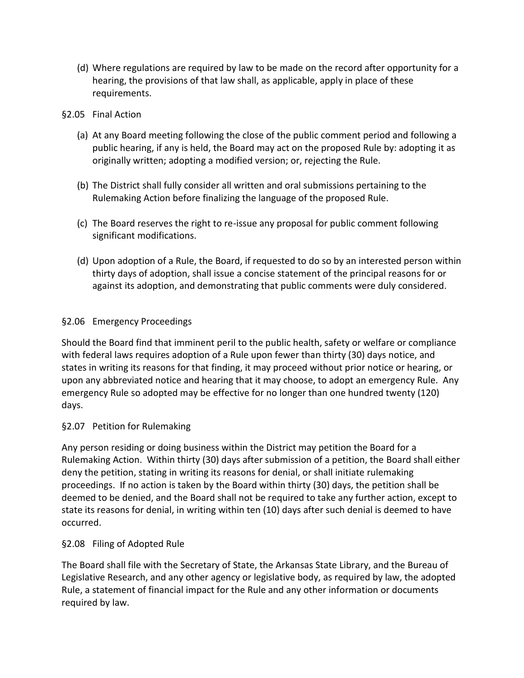(d) Where regulations are required by law to be made on the record after opportunity for a hearing, the provisions of that law shall, as applicable, apply in place of these requirements.

### §2.05 Final Action

- (a) At any Board meeting following the close of the public comment period and following a public hearing, if any is held, the Board may act on the proposed Rule by: adopting it as originally written; adopting a modified version; or, rejecting the Rule.
- (b) The District shall fully consider all written and oral submissions pertaining to the Rulemaking Action before finalizing the language of the proposed Rule.
- (c) The Board reserves the right to re-issue any proposal for public comment following significant modifications.
- (d) Upon adoption of a Rule, the Board, if requested to do so by an interested person within thirty days of adoption, shall issue a concise statement of the principal reasons for or against its adoption, and demonstrating that public comments were duly considered.

### §2.06 Emergency Proceedings

Should the Board find that imminent peril to the public health, safety or welfare or compliance with federal laws requires adoption of a Rule upon fewer than thirty (30) days notice, and states in writing its reasons for that finding, it may proceed without prior notice or hearing, or upon any abbreviated notice and hearing that it may choose, to adopt an emergency Rule. Any emergency Rule so adopted may be effective for no longer than one hundred twenty (120) days.

# §2.07 Petition for Rulemaking

Any person residing or doing business within the District may petition the Board for a Rulemaking Action. Within thirty (30) days after submission of a petition, the Board shall either deny the petition, stating in writing its reasons for denial, or shall initiate rulemaking proceedings. If no action is taken by the Board within thirty (30) days, the petition shall be deemed to be denied, and the Board shall not be required to take any further action, except to state its reasons for denial, in writing within ten (10) days after such denial is deemed to have occurred.

# §2.08 Filing of Adopted Rule

The Board shall file with the Secretary of State, the Arkansas State Library, and the Bureau of Legislative Research, and any other agency or legislative body, as required by law, the adopted Rule, a statement of financial impact for the Rule and any other information or documents required by law.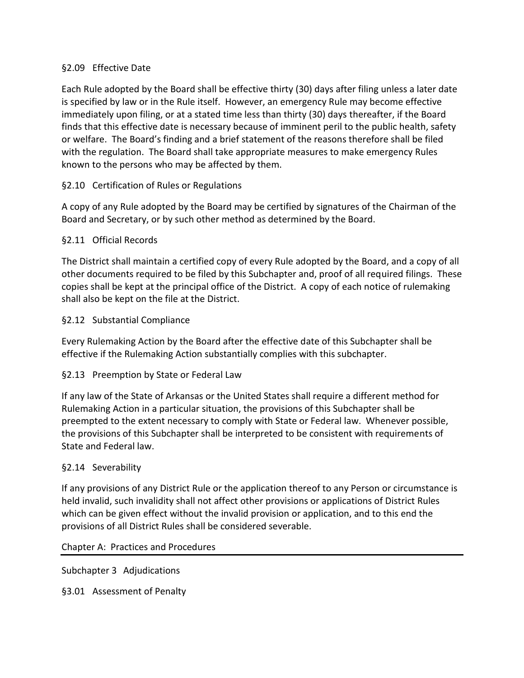### §2.09 Effective Date

Each Rule adopted by the Board shall be effective thirty (30) days after filing unless a later date is specified by law or in the Rule itself. However, an emergency Rule may become effective immediately upon filing, or at a stated time less than thirty (30) days thereafter, if the Board finds that this effective date is necessary because of imminent peril to the public health, safety or welfare. The Board's finding and a brief statement of the reasons therefore shall be filed with the regulation. The Board shall take appropriate measures to make emergency Rules known to the persons who may be affected by them.

# §2.10 Certification of Rules or Regulations

A copy of any Rule adopted by the Board may be certified by signatures of the Chairman of the Board and Secretary, or by such other method as determined by the Board.

### §2.11 Official Records

The District shall maintain a certified copy of every Rule adopted by the Board, and a copy of all other documents required to be filed by this Subchapter and, proof of all required filings. These copies shall be kept at the principal office of the District. A copy of each notice of rulemaking shall also be kept on the file at the District.

### §2.12 Substantial Compliance

Every Rulemaking Action by the Board after the effective date of this Subchapter shall be effective if the Rulemaking Action substantially complies with this subchapter.

# §2.13 Preemption by State or Federal Law

If any law of the State of Arkansas or the United States shall require a different method for Rulemaking Action in a particular situation, the provisions of this Subchapter shall be preempted to the extent necessary to comply with State or Federal law. Whenever possible, the provisions of this Subchapter shall be interpreted to be consistent with requirements of State and Federal law.

### §2.14 Severability

If any provisions of any District Rule or the application thereof to any Person or circumstance is held invalid, such invalidity shall not affect other provisions or applications of District Rules which can be given effect without the invalid provision or application, and to this end the provisions of all District Rules shall be considered severable.

Chapter A: Practices and Procedures

Subchapter 3 Adjudications

§3.01 Assessment of Penalty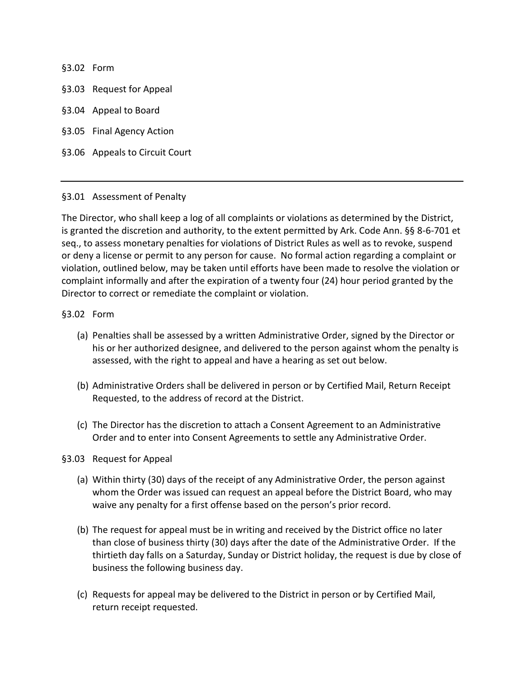§3.02 Form

§3.03 Request for Appeal

- §3.04 Appeal to Board
- §3.05 Final Agency Action

§3.06 Appeals to Circuit Court

#### §3.01 Assessment of Penalty

The Director, who shall keep a log of all complaints or violations as determined by the District, is granted the discretion and authority, to the extent permitted by Ark. Code Ann. §§ 8-6-701 et seq., to assess monetary penalties for violations of District Rules as well as to revoke, suspend or deny a license or permit to any person for cause. No formal action regarding a complaint or violation, outlined below, may be taken until efforts have been made to resolve the violation or complaint informally and after the expiration of a twenty four (24) hour period granted by the Director to correct or remediate the complaint or violation.

#### §3.02 Form

- (a) Penalties shall be assessed by a written Administrative Order, signed by the Director or his or her authorized designee, and delivered to the person against whom the penalty is assessed, with the right to appeal and have a hearing as set out below.
- (b) Administrative Orders shall be delivered in person or by Certified Mail, Return Receipt Requested, to the address of record at the District.
- (c) The Director has the discretion to attach a Consent Agreement to an Administrative Order and to enter into Consent Agreements to settle any Administrative Order.

#### §3.03 Request for Appeal

- (a) Within thirty (30) days of the receipt of any Administrative Order, the person against whom the Order was issued can request an appeal before the District Board, who may waive any penalty for a first offense based on the person's prior record.
- (b) The request for appeal must be in writing and received by the District office no later than close of business thirty (30) days after the date of the Administrative Order. If the thirtieth day falls on a Saturday, Sunday or District holiday, the request is due by close of business the following business day.
- (c) Requests for appeal may be delivered to the District in person or by Certified Mail, return receipt requested.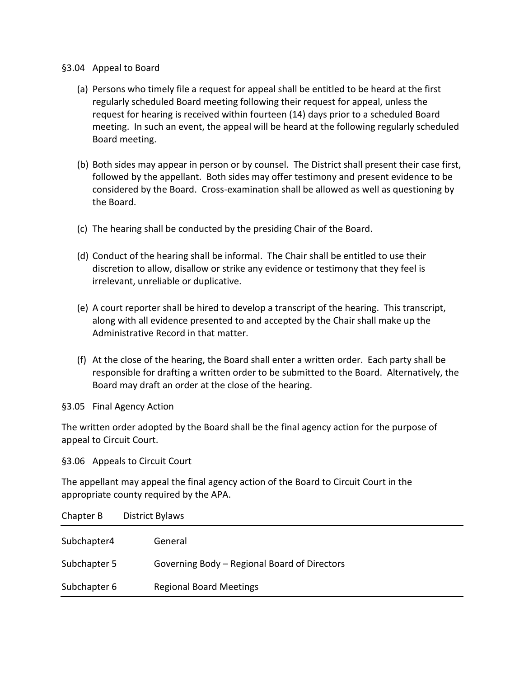#### §3.04 Appeal to Board

- (a) Persons who timely file a request for appeal shall be entitled to be heard at the first regularly scheduled Board meeting following their request for appeal, unless the request for hearing is received within fourteen (14) days prior to a scheduled Board meeting. In such an event, the appeal will be heard at the following regularly scheduled Board meeting.
- (b) Both sides may appear in person or by counsel. The District shall present their case first, followed by the appellant. Both sides may offer testimony and present evidence to be considered by the Board. Cross-examination shall be allowed as well as questioning by the Board.
- (c) The hearing shall be conducted by the presiding Chair of the Board.
- (d) Conduct of the hearing shall be informal. The Chair shall be entitled to use their discretion to allow, disallow or strike any evidence or testimony that they feel is irrelevant, unreliable or duplicative.
- (e) A court reporter shall be hired to develop a transcript of the hearing. This transcript, along with all evidence presented to and accepted by the Chair shall make up the Administrative Record in that matter.
- (f) At the close of the hearing, the Board shall enter a written order. Each party shall be responsible for drafting a written order to be submitted to the Board. Alternatively, the Board may draft an order at the close of the hearing.

§3.05 Final Agency Action

The written order adopted by the Board shall be the final agency action for the purpose of appeal to Circuit Court.

§3.06 Appeals to Circuit Court

The appellant may appeal the final agency action of the Board to Circuit Court in the appropriate county required by the APA.

| Chapter B    | District Bylaws                              |
|--------------|----------------------------------------------|
| Subchapter4  | General                                      |
| Subchapter 5 | Governing Body – Regional Board of Directors |
| Subchapter 6 | <b>Regional Board Meetings</b>               |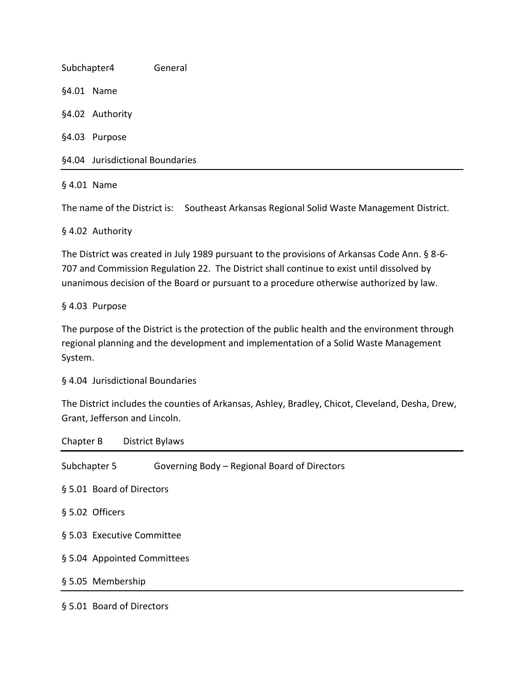Subchapter4 General §4.01 Name §4.02 Authority §4.03 Purpose §4.04 Jurisdictional Boundaries

§ 4.01 Name

The name of the District is: Southeast Arkansas Regional Solid Waste Management District.

§ 4.02 Authority

The District was created in July 1989 pursuant to the provisions of Arkansas Code Ann. § 8-6- 707 and Commission Regulation 22. The District shall continue to exist until dissolved by unanimous decision of the Board or pursuant to a procedure otherwise authorized by law.

§ 4.03 Purpose

The purpose of the District is the protection of the public health and the environment through regional planning and the development and implementation of a Solid Waste Management System.

§ 4.04 Jurisdictional Boundaries

The District includes the counties of Arkansas, Ashley, Bradley, Chicot, Cleveland, Desha, Drew, Grant, Jefferson and Lincoln.

|                             | Chapter B District Bylaws                    |  |  |  |
|-----------------------------|----------------------------------------------|--|--|--|
| Subchapter 5                | Governing Body - Regional Board of Directors |  |  |  |
|                             | § 5.01 Board of Directors                    |  |  |  |
| § 5.02 Officers             |                                              |  |  |  |
| § 5.03 Executive Committee  |                                              |  |  |  |
| § 5.04 Appointed Committees |                                              |  |  |  |
| § 5.05 Membership           |                                              |  |  |  |
|                             |                                              |  |  |  |

§ 5.01 Board of Directors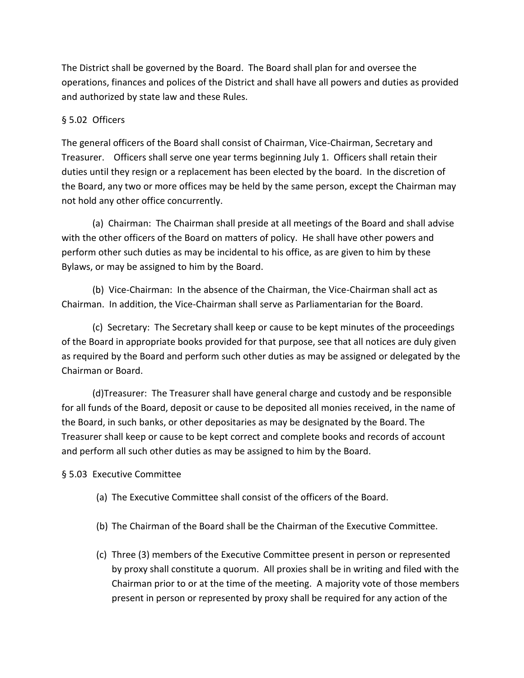The District shall be governed by the Board. The Board shall plan for and oversee the operations, finances and polices of the District and shall have all powers and duties as provided and authorized by state law and these Rules.

# § 5.02 Officers

The general officers of the Board shall consist of Chairman, Vice-Chairman, Secretary and Treasurer. Officers shall serve one year terms beginning July 1. Officers shall retain their duties until they resign or a replacement has been elected by the board. In the discretion of the Board, any two or more offices may be held by the same person, except the Chairman may not hold any other office concurrently.

(a) Chairman: The Chairman shall preside at all meetings of the Board and shall advise with the other officers of the Board on matters of policy. He shall have other powers and perform other such duties as may be incidental to his office, as are given to him by these Bylaws, or may be assigned to him by the Board.

(b) Vice-Chairman: In the absence of the Chairman, the Vice-Chairman shall act as Chairman. In addition, the Vice-Chairman shall serve as Parliamentarian for the Board.

(c) Secretary: The Secretary shall keep or cause to be kept minutes of the proceedings of the Board in appropriate books provided for that purpose, see that all notices are duly given as required by the Board and perform such other duties as may be assigned or delegated by the Chairman or Board.

(d)Treasurer: The Treasurer shall have general charge and custody and be responsible for all funds of the Board, deposit or cause to be deposited all monies received, in the name of the Board, in such banks, or other depositaries as may be designated by the Board. The Treasurer shall keep or cause to be kept correct and complete books and records of account and perform all such other duties as may be assigned to him by the Board.

# § 5.03 Executive Committee

- (a) The Executive Committee shall consist of the officers of the Board.
- (b) The Chairman of the Board shall be the Chairman of the Executive Committee.
- (c) Three (3) members of the Executive Committee present in person or represented by proxy shall constitute a quorum. All proxies shall be in writing and filed with the Chairman prior to or at the time of the meeting.A majority vote of those members present in person or represented by proxy shall be required for any action of the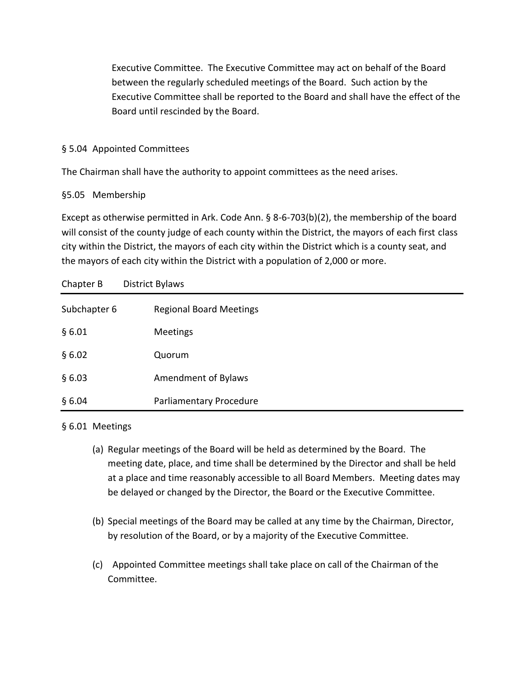Executive Committee. The Executive Committee may act on behalf of the Board between the regularly scheduled meetings of the Board. Such action by the Executive Committee shall be reported to the Board and shall have the effect of the Board until rescinded by the Board.

# § 5.04 Appointed Committees

The Chairman shall have the authority to appoint committees as the need arises.

# §5.05 Membership

Except as otherwise permitted in Ark. Code Ann. § 8-6-703(b)(2), the membership of the board will consist of the county judge of each county within the District, the mayors of each first class city within the District, the mayors of each city within the District which is a county seat, and the mayors of each city within the District with a population of 2,000 or more.

| Chapter B    | <b>District Bylaws</b>         |
|--------------|--------------------------------|
| Subchapter 6 | <b>Regional Board Meetings</b> |
| §6.01        | Meetings                       |
| §6.02        | Quorum                         |
| §6.03        | Amendment of Bylaws            |
| §6.04        | Parliamentary Procedure        |

# § 6.01 Meetings

- (a) Regular meetings of the Board will be held as determined by the Board. The meeting date, place, and time shall be determined by the Director and shall be held at a place and time reasonably accessible to all Board Members. Meeting dates may be delayed or changed by the Director, the Board or the Executive Committee.
- (b) Special meetings of the Board may be called at any time by the Chairman, Director, by resolution of the Board, or by a majority of the Executive Committee.
- (c) Appointed Committee meetings shall take place on call of the Chairman of the Committee.